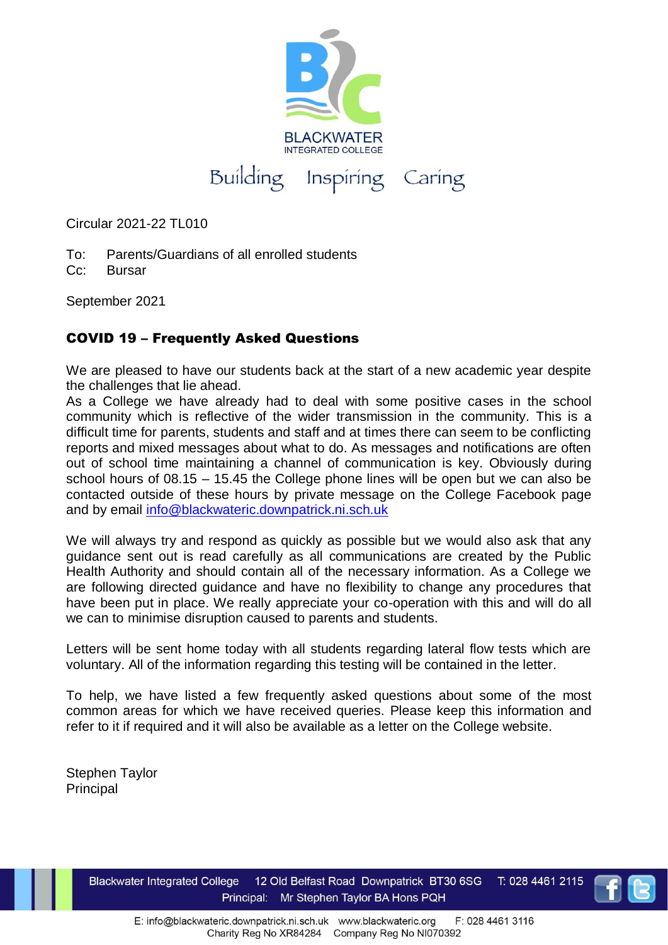

Circular 2021-22 TL010

- To: Parents/Guardians of all enrolled students
- Cc: Bursar

September 2021

## COVID 19 – Frequently Asked Questions

We are pleased to have our students back at the start of a new academic year despite the challenges that lie ahead.

As a College we have already had to deal with some positive cases in the school community which is reflective of the wider transmission in the community. This is a difficult time for parents, students and staff and at times there can seem to be conflicting reports and mixed messages about what to do. As messages and notifications are often out of school time maintaining a channel of communication is key. Obviously during school hours of 08.15 – 15.45 the College phone lines will be open but we can also be contacted outside of these hours by private message on the College Facebook page and by email [info@blackwateric.downpatrick.ni.sch.uk](mailto:info@blackwateric.downpatrick.ni.sch.uk)

We will always try and respond as quickly as possible but we would also ask that any guidance sent out is read carefully as all communications are created by the Public Health Authority and should contain all of the necessary information. As a College we are following directed guidance and have no flexibility to change any procedures that have been put in place. We really appreciate your co-operation with this and will do all we can to minimise disruption caused to parents and students.

Letters will be sent home today with all students regarding lateral flow tests which are voluntary. All of the information regarding this testing will be contained in the letter.

To help, we have listed a few frequently asked questions about some of the most common areas for which we have received queries. Please keep this information and refer to it if required and it will also be available as a letter on the College website.

Stephen Taylor Principal

T: 028 4461 2115 **Blackwater Integrated College** 12 Old Belfast Road Downpatrick BT30 6SG Mr Stephen Taylor BA Hons PQH **Frequently Asked Questions**